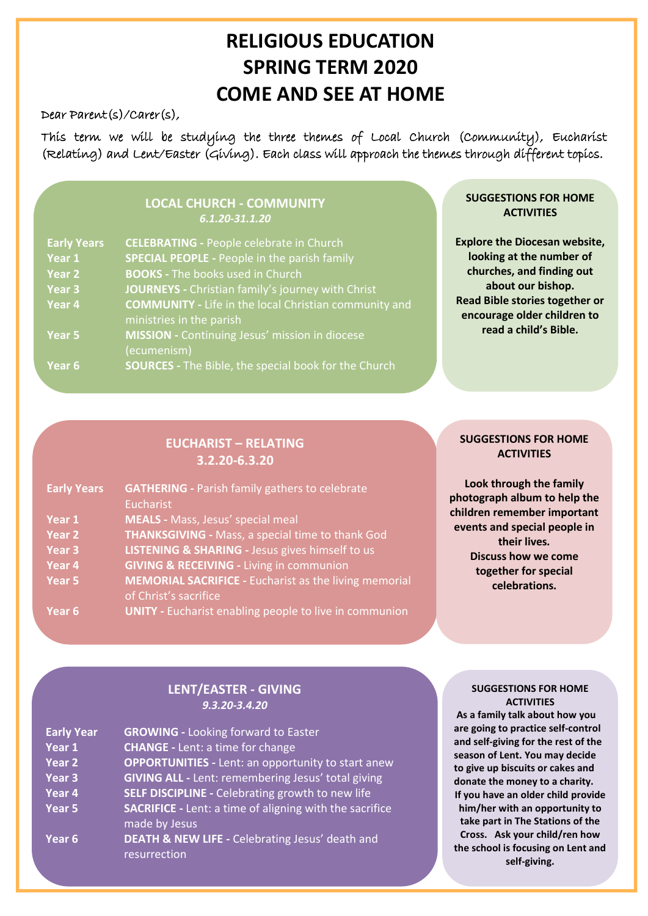## **RELIGIOUS EDUCATION SPRING TERM 2020 COME AND SEE AT HOME**

Dear Parent(s)/Carer(s),

This term we will be studying the three themes of Local Church (Community), Eucharist (Relating) and Lent/Easter (Giving). Each class will approach the themes through different topics.

Pupils will study various aspects of Islam for one week. Ask them what they have been learning about.

### **LOCAL CHURCH - COMMUNITY** *6.1.20-31.1.20*

| <b>Early Years</b> | <b>CELEBRATING - People celebrate in Church</b>              |
|--------------------|--------------------------------------------------------------|
| Year 1             | <b>SPECIAL PEOPLE - People in the parish family</b>          |
| Year 2             | <b>BOOKS</b> - The books used in Church                      |
| Year <sub>3</sub>  | JOURNEYS - Christian family's journey with Christ            |
| Year 4             | <b>COMMUNITY</b> - Life in the local Christian community and |
|                    | ministries in the parish                                     |
| Year 5             | <b>MISSION - Continuing Jesus' mission in diocese</b>        |
|                    | (ecumenism)                                                  |
| Year 6             | <b>SOURCES</b> - The Bible, the special book for the Church  |

#### **SUGGESTIONS FOR HOME ACTIVITIES**

**Explore the Diocesan website, looking at the number of churches, and finding out about our bishop. Read Bible stories together or encourage older children to read a child's Bible.**

## **EUCHARIST – RELATING 3.2.20-6.3.20**

| <b>Early Years</b> | <b>GATHERING</b> - Parish family gathers to celebrate<br>Eucharist                    |
|--------------------|---------------------------------------------------------------------------------------|
| Year 1             | <b>MEALS</b> - Mass, Jesus' special meal                                              |
| Year 2             | <b>THANKSGIVING</b> - Mass, a special time to thank God                               |
| Year <sub>3</sub>  | <b>LISTENING &amp; SHARING - Jesus gives himself to us</b>                            |
| Year 4             | <b>GIVING &amp; RECEIVING - Living in communion</b>                                   |
| Year 5             | <b>MEMORIAL SACRIFICE - Eucharist as the living memorial</b><br>of Christ's sacrifice |
| Year <sub>6</sub>  | <b>UNITY</b> - Eucharist enabling people to live in communion                         |

#### **SUGGESTIONS FOR HOME ACTIVITIES**

**Look through the family photograph album to help the children remember important events and special people in their lives***.*  **Discuss how we come together for special celebrations.**

## **LENT/EASTER - GIVING** *9.3.20-3.4.20*

| <b>Early Year</b>             | <b>GROWING - Looking forward to Easter</b>                     |
|-------------------------------|----------------------------------------------------------------|
| $\overline{\mathsf{Year}\,1}$ | <b>CHANGE - Lent: a time for change</b>                        |
| Year <sub>2</sub>             | <b>OPPORTUNITIES - Lent: an opportunity to start anew</b>      |
| Year <sub>3</sub>             | <b>GIVING ALL - Lent: remembering Jesus' total giving</b>      |
| Year <sub>4</sub>             | <b>SELF DISCIPLINE - Celebrating growth to new life</b>        |
| Year 5                        | <b>SACRIFICE</b> - Lent: a time of aligning with the sacrifice |
|                               | made by Jesus                                                  |
| Year <sub>6</sub>             | <b>DEATH &amp; NEW LIFE - Celebrating Jesus' death and</b>     |
|                               | resurrection                                                   |

#### **SUGGESTIONS FOR HOME ACTIVITIES**

**As a family talk about how you are going to practice self-control and self-giving for the rest of the season of Lent. You may decide to give up biscuits or cakes and donate the money to a charity. If you have an older child provide him/her with an opportunity to take part in The Stations of the Cross. Ask your child/ren how the school is focusing on Lent and self-giving.**